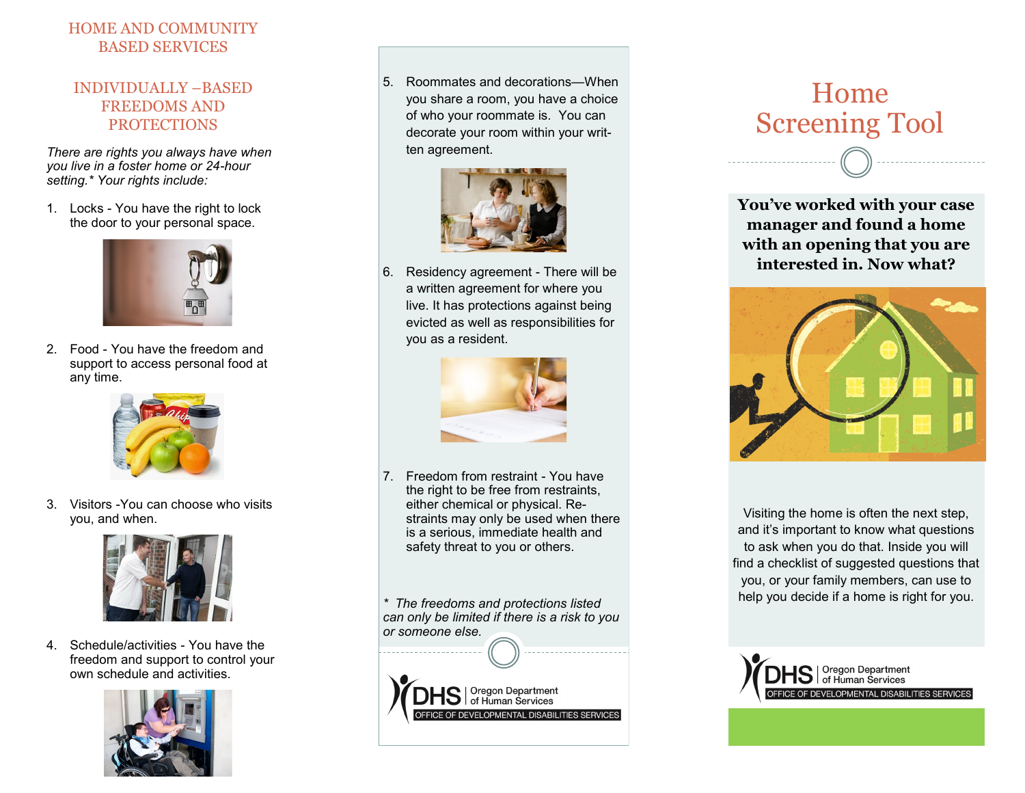### HOME AND COMMUNITY BASED SERVICES

#### INDIVIDUALLY –BASED FREEDOMS AND **PROTECTIONS**

*There are rights you always have when you live in a foster home or 24-hour setting.\* Your rights include:*

1. Locks - You have the right to lock the door to your personal space.



2. Food - You have the freedom and support to access personal food at any time.



3. Visitors -You can choose who visits you, and when.



4. Schedule/activities - You have the freedom and support to control your own schedule and activities.



5. Roommates and decorations—When you share a room, you have a choice of who your roommate is. You can decorate your room within your written agreement.



6. Residency agreement - There will be a written agreement for where you live. It has protections against being evicted as well as responsibilities for you as a resident.



7. Freedom from restraint - You have the right to be free from restraints, either chemical or physical. Restraints may only be used when there is a serious, immediate health and safety threat to you or others.

*\* The freedoms and protections listed can only be limited if there is a risk to you or someone else.* 

# $S$  | Oregon Department<br> $S$  | of Human Services **ICE OF DEVELOPMENTAL DISABILITIES SERVICES**

## Home Screening Tool

**You've worked with your case manager and found a home with an opening that you are interested in. Now what?**



Visiting the home is often the next step, and it's important to know what questions to ask when you do that. Inside you will find a checklist of suggested questions that you, or your family members, can use to help you decide if a home is right for you.